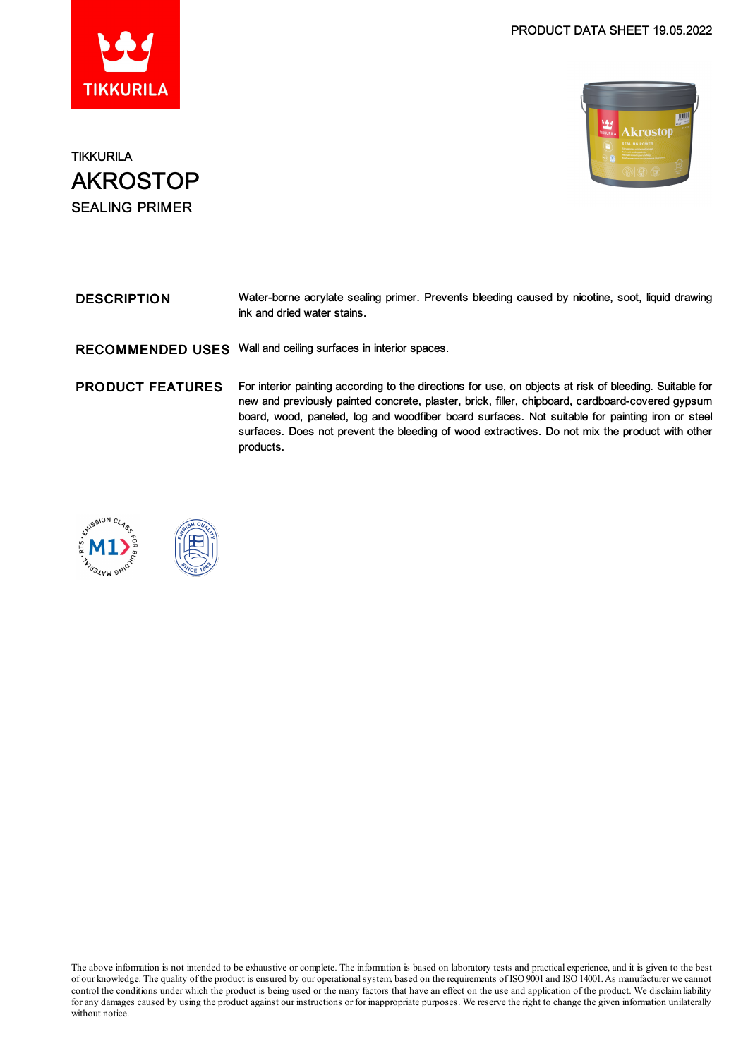



**TIKKURILA** AKROSTOP SEALING PRIMER

| <b>DESCRIPTION</b> | Water-borne acrylate sealing primer. Prevents bleeding caused by nicotine, soot, liquid drawing |
|--------------------|-------------------------------------------------------------------------------------------------|
|                    | ink and dried water stains.                                                                     |
|                    |                                                                                                 |

RECOMMENDED USES Wall and ceiling surfaces in interior spaces.

PRODUCT FEATURES For interior painting according to the directions for use, on objects at risk of bleeding. Suitable for new and previously painted concrete, plaster, brick, filler, chipboard, cardboard-covered gypsum board, wood, paneled, log and woodfiber board surfaces. Not suitable for painting iron or steel surfaces. Does not prevent the bleeding of wood extractives. Do not mix the product with other products.





The above information is not intended to be exhaustive or complete. The information is based on laboratory tests and practical experience, and it is given to the best of our knowledge. The quality of the product is ensured by our operationalsystem, based on the requirements of ISO9001 and ISO14001.As manufacturer we cannot control the conditions under which the product is being used or the many factors that have an effect on the use and application of the product. We disclaimliability forany damages caused by using the product against our instructions or for inappropriate purposes. We reserve the right to change the given information unilaterally without notice.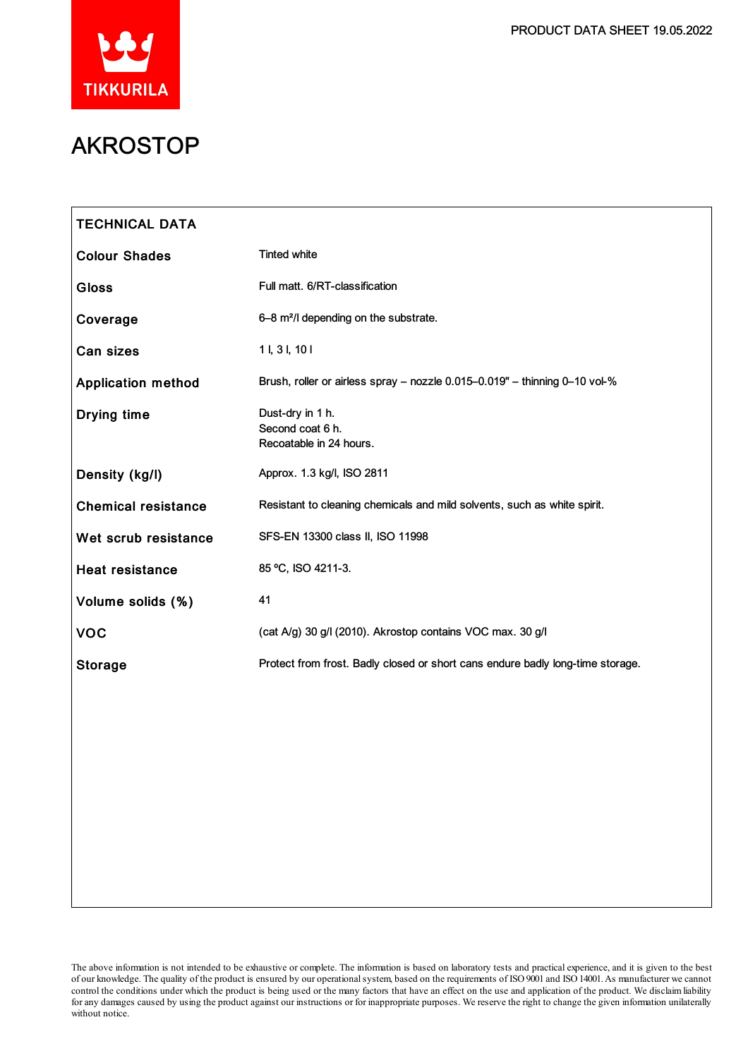

# AKROSTOP

| <b>TECHNICAL DATA</b>      |                                                                                |
|----------------------------|--------------------------------------------------------------------------------|
| <b>Colour Shades</b>       | <b>Tinted white</b>                                                            |
| <b>Gloss</b>               | Full matt. 6/RT-classification                                                 |
| Coverage                   | 6-8 m <sup>2</sup> /l depending on the substrate.                              |
| Can sizes                  | 11, 31, 101                                                                    |
| <b>Application method</b>  | Brush, roller or airless spray - nozzle 0.015-0.019" - thinning 0-10 vol-%     |
| Drying time                | Dust-dry in 1 h.<br>Second coat 6 h.<br>Recoatable in 24 hours.                |
| Density (kg/l)             | Approx. 1.3 kg/l, ISO 2811                                                     |
| <b>Chemical resistance</b> | Resistant to cleaning chemicals and mild solvents, such as white spirit.       |
| Wet scrub resistance       | SFS-EN 13300 class II, ISO 11998                                               |
| <b>Heat resistance</b>     | 85 °C, ISO 4211-3.                                                             |
| Volume solids (%)          | 41                                                                             |
| <b>VOC</b>                 | (cat A/g) 30 g/l (2010). Akrostop contains VOC max. 30 g/l                     |
| <b>Storage</b>             | Protect from frost. Badly closed or short cans endure badly long-time storage. |
|                            |                                                                                |
|                            |                                                                                |
|                            |                                                                                |
|                            |                                                                                |
|                            |                                                                                |
|                            |                                                                                |

The above information is not intended to be exhaustive or complete. The information is based on laboratory tests and practical experience, and it is given to the best of our knowledge. The quality of the product is ensured by our operationalsystem, based on the requirements of ISO9001 and ISO14001.As manufacturer we cannot control the conditions under which the product is being used or the many factors that have an effect on the use and application of the product. We disclaimliability for any damages caused by using the product against our instructions or for inappropriate purposes. We reserve the right to change the given information unilaterally without notice.